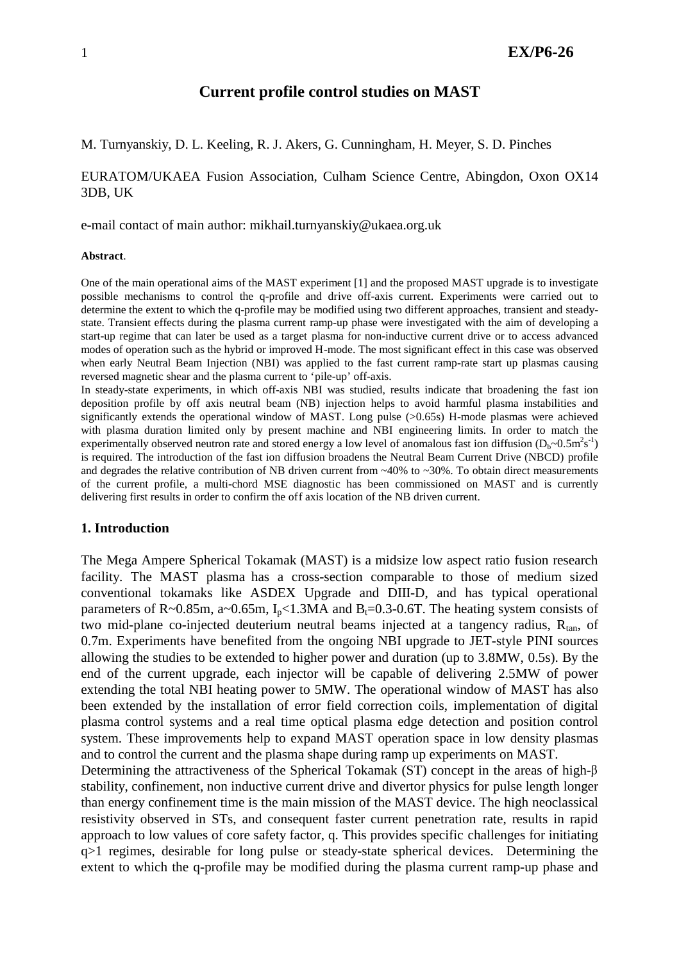# **Current profile control studies on MAST**

M. Turnyanskiy, D. L. Keeling, R. J. Akers, G. Cunningham, H. Meyer, S. D. Pinches

# EURATOM/UKAEA Fusion Association, Culham Science Centre, Abingdon, Oxon OX14 3DB, UK

e-mail contact of main author: mikhail.turnyanskiy@ukaea.org.uk

#### **Abstract**.

One of the main operational aims of the MAST experiment [1] and the proposed MAST upgrade is to investigate possible mechanisms to control the q-profile and drive off-axis current. Experiments were carried out to determine the extent to which the q-profile may be modified using two different approaches, transient and steadystate. Transient effects during the plasma current ramp-up phase were investigated with the aim of developing a start-up regime that can later be used as a target plasma for non-inductive current drive or to access advanced modes of operation such as the hybrid or improved H-mode. The most significant effect in this case was observed when early Neutral Beam Injection (NBI) was applied to the fast current ramp-rate start up plasmas causing reversed magnetic shear and the plasma current to 'pile-up' off-axis.

In steady-state experiments, in which off-axis NBI was studied, results indicate that broadening the fast ion deposition profile by off axis neutral beam (NB) injection helps to avoid harmful plasma instabilities and significantly extends the operational window of MAST. Long pulse (>0.65s) H-mode plasmas were achieved with plasma duration limited only by present machine and NBI engineering limits. In order to match the experimentally observed neutron rate and stored energy a low level of anomalous fast ion diffusion  $(D_b \sim 0.5 \text{m}^2 \text{s}^{-1})$ is required. The introduction of the fast ion diffusion broadens the Neutral Beam Current Drive (NBCD) profile and degrades the relative contribution of NB driven current from  $\sim$ 40% to  $\sim$ 30%. To obtain direct measurements of the current profile, a multi-chord MSE diagnostic has been commissioned on MAST and is currently delivering first results in order to confirm the off axis location of the NB driven current.

## **1. Introduction**

The Mega Ampere Spherical Tokamak (MAST) is a midsize low aspect ratio fusion research facility. The MAST plasma has a cross-section comparable to those of medium sized conventional tokamaks like ASDEX Upgrade and DIII-D, and has typical operational parameters of R~0.85m, a~0.65m,  $I_p$ <1.3MA and B<sub>t</sub>=0.3-0.6T. The heating system consists of two mid-plane co-injected deuterium neutral beams injected at a tangency radius,  $R_{tan}$ , of 0.7m. Experiments have benefited from the ongoing NBI upgrade to JET-style PINI sources allowing the studies to be extended to higher power and duration (up to 3.8MW, 0.5s). By the end of the current upgrade, each injector will be capable of delivering 2.5MW of power extending the total NBI heating power to 5MW. The operational window of MAST has also been extended by the installation of error field correction coils, implementation of digital plasma control systems and a real time optical plasma edge detection and position control system. These improvements help to expand MAST operation space in low density plasmas and to control the current and the plasma shape during ramp up experiments on MAST.

Determining the attractiveness of the Spherical Tokamak (ST) concept in the areas of high- <sup>β</sup> stability, confinement, non inductive current drive and divertor physics for pulse length longer than energy confinement time is the main mission of the MAST device. The high neoclassical resistivity observed in STs, and consequent faster current penetration rate, results in rapid approach to low values of core safety factor, q. This provides specific challenges for initiating q>1 regimes, desirable for long pulse or steady-state spherical devices. Determining the extent to which the q-profile may be modified during the plasma current ramp-up phase and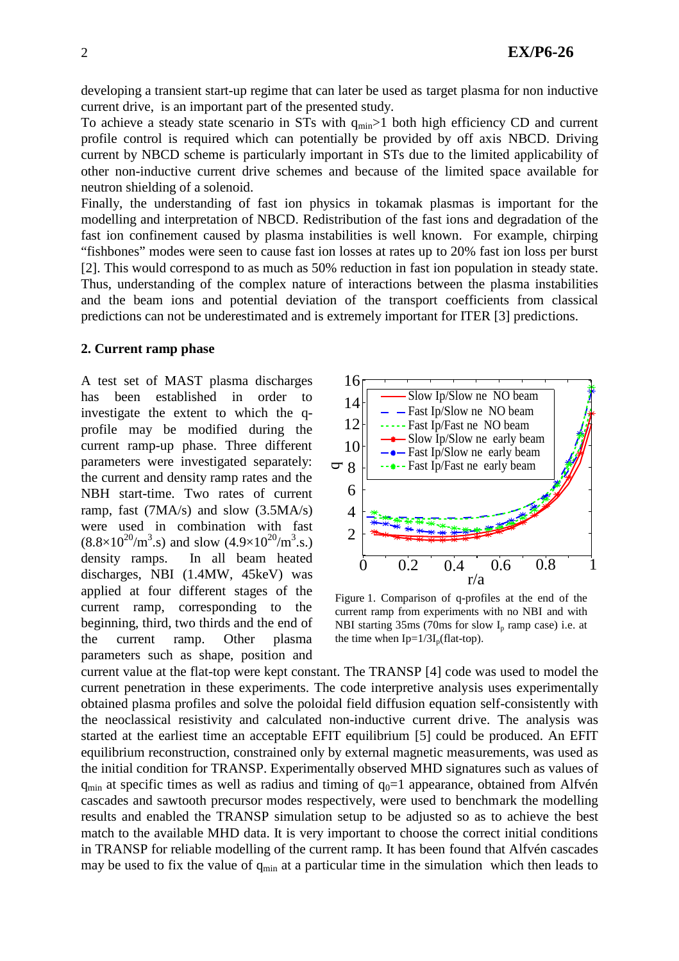developing a transient start-up regime that can later be used as target plasma for non inductive current drive, is an important part of the presented study.

To achieve a steady state scenario in STs with  $q_{min}$  >1 both high efficiency CD and current profile control is required which can potentially be provided by off axis NBCD. Driving current by NBCD scheme is particularly important in STs due to the limited applicability of other non-inductive current drive schemes and because of the limited space available for neutron shielding of a solenoid.

Finally, the understanding of fast ion physics in tokamak plasmas is important for the modelling and interpretation of NBCD. Redistribution of the fast ions and degradation of the fast ion confinement caused by plasma instabilities is well known. For example, chirping "fishbones" modes were seen to cause fast ion losses at rates up to 20% fast ion loss per burst [2]. This would correspond to as much as 50% reduction in fast ion population in steady state. Thus, understanding of the complex nature of interactions between the plasma instabilities and the beam ions and potential deviation of the transport coefficients from classical predictions can not be underestimated and is extremely important for ITER [3] predictions.

#### **2. Current ramp phase**

A test set of MAST plasma discharges has been established in order to investigate the extent to which the qprofile may be modified during the current ramp-up phase. Three different parameters were investigated separately: the current and density ramp rates and the NBH start-time. Two rates of current ramp, fast (7MA/s) and slow (3.5MA/s) were used in combination with fast  $(8.8\times10^{20}/\text{m}^3\text{s})$  and slow  $(4.9\times10^{20}/\text{m}^3\text{s})$ . density ramps. In all beam heated discharges, NBI (1.4MW, 45keV) was applied at four different stages of the current ramp, corresponding to the beginning, third, two thirds and the end of the current ramp. Other plasma parameters such as shape, position and



Figure 1. Comparison of q-profiles at the end of the current ramp from experiments with no NBI and with NBI starting  $35\text{ms}$  (70ms for slow  $I<sub>p</sub>$  ramp case) i.e. at the time when  $Ip=1/3I_p(flat-top)$ .

current value at the flat-top were kept constant. The TRANSP [4] code was used to model the current penetration in these experiments. The code interpretive analysis uses experimentally obtained plasma profiles and solve the poloidal field diffusion equation self-consistently with the neoclassical resistivity and calculated non-inductive current drive. The analysis was started at the earliest time an acceptable EFIT equilibrium [5] could be produced. An EFIT equilibrium reconstruction, constrained only by external magnetic measurements, was used as the initial condition for TRANSP. Experimentally observed MHD signatures such as values of  $q_{min}$  at specific times as well as radius and timing of  $q_0=1$  appearance, obtained from Alfvén cascades and sawtooth precursor modes respectively, were used to benchmark the modelling results and enabled the TRANSP simulation setup to be adjusted so as to achieve the best match to the available MHD data. It is very important to choose the correct initial conditions in TRANSP for reliable modelling of the current ramp. It has been found that Alfvén cascades may be used to fix the value of  $q_{min}$  at a particular time in the simulation which then leads to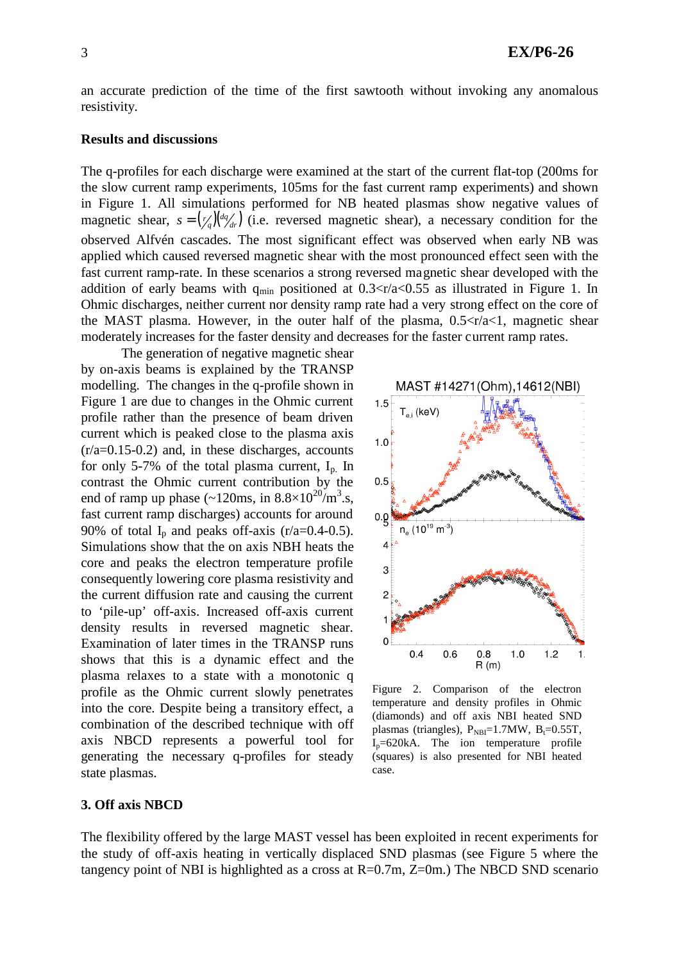an accurate prediction of the time of the first sawtooth without invoking any anomalous resistivity.

### **Results and discussions**

The q-profiles for each discharge were examined at the start of the current flat-top (200ms for the slow current ramp experiments, 105ms for the fast current ramp experiments) and shown in Figure 1. All simulations performed for NB heated plasmas show negative values of magnetic shear,  $s = \left(\frac{r}{q}\right)\left(\frac{dq}{dr}\right)$  (i.e. reversed magnetic shear), a necessary condition for the observed Alfvén cascades. The most significant effect was observed when early NB was applied which caused reversed magnetic shear with the most pronounced effect seen with the fast current ramp-rate. In these scenarios a strong reversed magnetic shear developed with the addition of early beams with  $q_{min}$  positioned at 0.3  $\langle \frac{r}{a} \rangle$  as illustrated in Figure 1. In Ohmic discharges, neither current nor density ramp rate had a very strong effect on the core of the MAST plasma. However, in the outer half of the plasma,  $0.5 \le r/a < 1$ , magnetic shear moderately increases for the faster density and decreases for the faster current ramp rates.

The generation of negative magnetic shear by on-axis beams is explained by the TRANSP modelling. The changes in the q-profile shown in Figure 1 are due to changes in the Ohmic current profile rather than the presence of beam driven current which is peaked close to the plasma axis  $(r/a=0.15-0.2)$  and, in these discharges, accounts for only 5-7% of the total plasma current,  $I_n$  In contrast the Ohmic current contribution by the end of ramp up phase  $(\sim 120 \text{ms}, \text{ in } 8.8 \times 10^{20} \text{/m}^3 \text{ s},$ fast current ramp discharges) accounts for around 90% of total  $I_n$  and peaks off-axis (r/a=0.4-0.5). Simulations show that the on axis NBH heats the core and peaks the electron temperature profile consequently lowering core plasma resistivity and the current diffusion rate and causing the current to 'pile-up' off-axis. Increased off-axis current density results in reversed magnetic shear. Examination of later times in the TRANSP runs shows that this is a dynamic effect and the plasma relaxes to a state with a monotonic q profile as the Ohmic current slowly penetrates into the core. Despite being a transitory effect, a combination of the described technique with off axis NBCD represents a powerful tool for generating the necessary q-profiles for steady state plasmas.



Figure 2. Comparison of the electron temperature and density profiles in Ohmic (diamonds) and off axis NBI heated SND plasmas (triangles),  $P_{NBI}=1.7MW$ ,  $B_t=0.55T$ ,  $I_p = 620kA$ . The ion temperature profile (squares) is also presented for NBI heated case.

## **3. Off axis NBCD**

The flexibility offered by the large MAST vessel has been exploited in recent experiments for the study of off-axis heating in vertically displaced SND plasmas (see Figure 5 where the tangency point of NBI is highlighted as a cross at  $R=0.7m$ ,  $Z=0m$ .) The NBCD SND scenario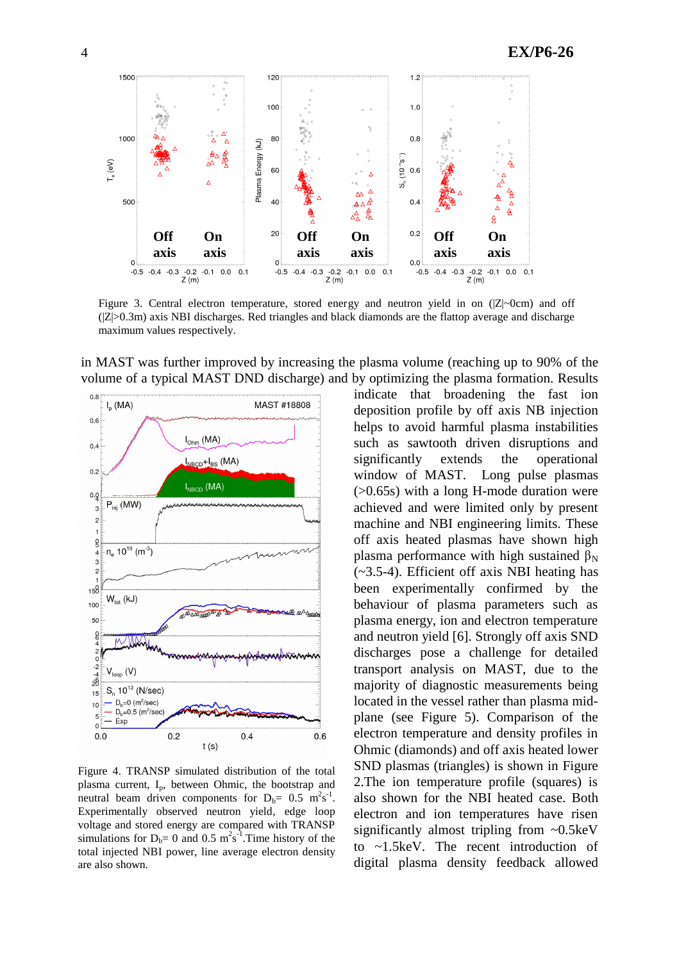

Figure 3. Central electron temperature, stored energy and neutron yield in on  $(|Z|$ ~0cm) and off  $(|Z|>0.3m)$  axis NBI discharges. Red triangles and black diamonds are the flattop average and discharge maximum values respectively.

in MAST was further improved by increasing the plasma volume (reaching up to 90% of the volume of a typical MAST DND discharge) and by optimizing the plasma formation. Results



Figure 4. TRANSP simulated distribution of the total plasma current,  $I_p$ , between Ohmic, the bootstrap and neutral beam driven components for  $D_b = 0.5 \text{ m}^2 \text{s}^{-1}$ . Experimentally observed neutron yield, edge loop voltage and stored energy are compared with TRANSP simulations for  $D_b = 0$  and 0.5 m<sup>2</sup>s<sup>-1</sup>. Time history of the total injected NBI power, line average electron density are also shown.

indicate that broadening the fast ion deposition profile by off axis NB injection helps to avoid harmful plasma instabilities such as sawtooth driven disruptions and significantly extends the operational window of MAST. Long pulse plasmas (>0.65s) with a long H-mode duration were achieved and were limited only by present machine and NBI engineering limits. These off axis heated plasmas have shown high plasma performance with high sustained  $\beta_N$ (~3.5-4). Efficient off axis NBI heating has been experimentally confirmed by the behaviour of plasma parameters such as plasma energy, ion and electron temperature and neutron yield [6]. Strongly off axis SND discharges pose a challenge for detailed transport analysis on MAST, due to the majority of diagnostic measurements being located in the vessel rather than plasma midplane (see Figure 5). Comparison of the electron temperature and density profiles in Ohmic (diamonds) and off axis heated lower SND plasmas (triangles) is shown in Figure 2.The ion temperature profile (squares) is also shown for the NBI heated case. Both electron and ion temperatures have risen significantly almost tripling from ~0.5keV to ~1.5keV. The recent introduction of digital plasma density feedback allowed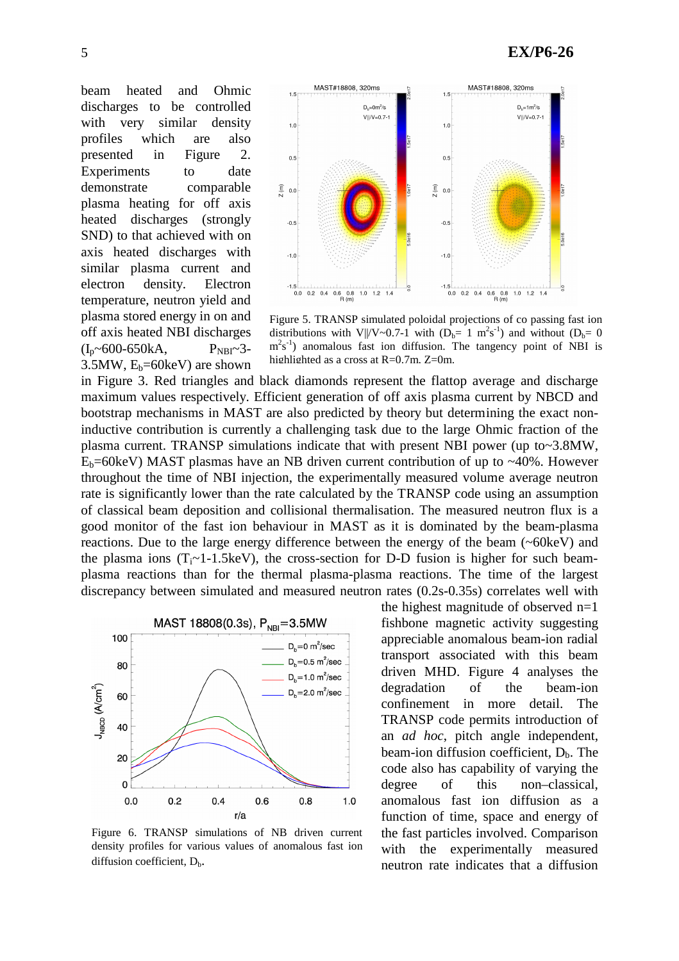beam heated and Ohmic discharges to be controlled with very similar density profiles which are also presented in Figure 2. Experiments to date demonstrate comparable plasma heating for off axis heated discharges (strongly SND) to that achieved with on axis heated discharges with similar plasma current and electron density. Electron temperature, neutron yield and plasma stored energy in on and off axis heated NBI discharges  $(I_n \sim 600 - 650kA,$   $P_{NBI} \sim 3$ -3.5MW,  $E_b = 60 \text{keV}$  are shown



Figure 5. TRANSP simulated poloidal projections of co passing fast ion distributions with V||/V~0.7-1 with  $(D_b=1 \text{ m}^2 \text{s}^{-1})$  and without  $(D_b=0$  $m<sup>2</sup>s<sup>-1</sup>$ ) anomalous fast ion diffusion. The tangency point of NBI is highlighted as a cross at R=0.7m, Z=0m.

in Figure 3. Red triangles and black diamonds represent the flattop average and discharge maximum values respectively. Efficient generation of off axis plasma current by NBCD and bootstrap mechanisms in MAST are also predicted by theory but determining the exact noninductive contribution is currently a challenging task due to the large Ohmic fraction of the plasma current. TRANSP simulations indicate that with present NBI power (up to~3.8MW,  $E_b$ =60keV) MAST plasmas have an NB driven current contribution of up to ~40%. However throughout the time of NBI injection, the experimentally measured volume average neutron rate is significantly lower than the rate calculated by the TRANSP code using an assumption of classical beam deposition and collisional thermalisation. The measured neutron flux is a good monitor of the fast ion behaviour in MAST as it is dominated by the beam-plasma reactions. Due to the large energy difference between the energy of the beam (~60keV) and the plasma ions  $(T_i \sim 1-1.5 \text{keV})$ , the cross-section for D-D fusion is higher for such beamplasma reactions than for the thermal plasma-plasma reactions. The time of the largest discrepancy between simulated and measured neutron rates (0.2s-0.35s) correlates well with



Figure 6. TRANSP simulations of NB driven current density profiles for various values of anomalous fast ion diffusion coefficient,  $D_h$ .

the highest magnitude of observed n=1 fishbone magnetic activity suggesting appreciable anomalous beam-ion radial transport associated with this beam driven MHD. Figure 4 analyses the degradation of the beam-ion confinement in more detail. The TRANSP code permits introduction of an *ad hoc*, pitch angle independent, beam-ion diffusion coefficient,  $D_b$ . The code also has capability of varying the degree of this non–classical, anomalous fast ion diffusion as a function of time, space and energy of the fast particles involved. Comparison with the experimentally measured neutron rate indicates that a diffusion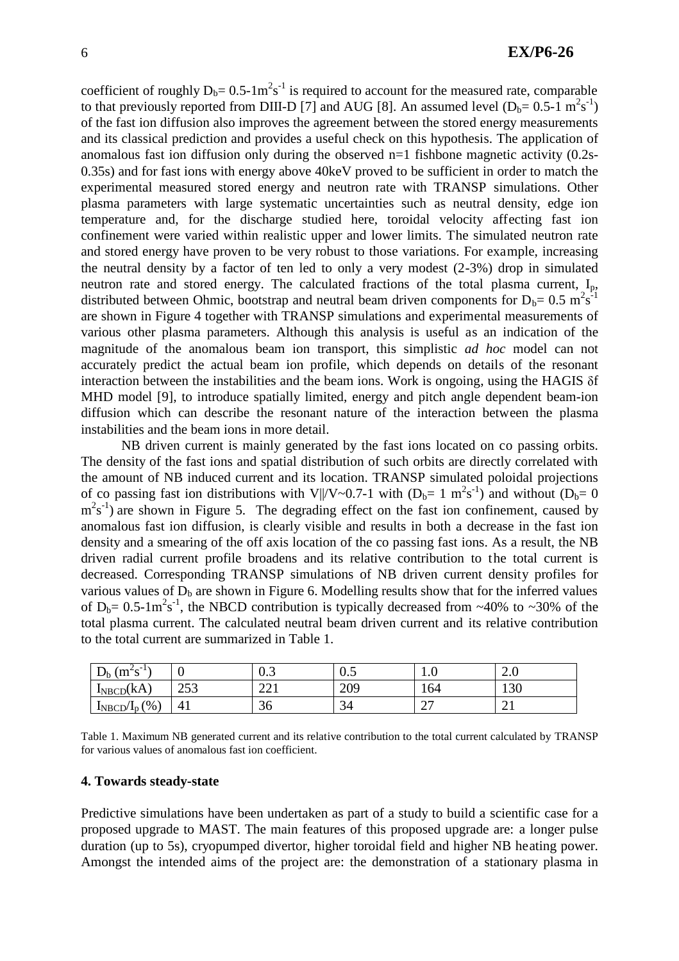coefficient of roughly  $D_b = 0.5 \cdot 1 \text{m}^2 \text{s}^{-1}$  is required to account for the measured rate, comparable to that previously reported from DIII-D [7] and AUG [8]. An assumed level  $(D_b= 0.5-1 \text{ m}^2 \text{s}^{-1})$ of the fast ion diffusion also improves the agreement between the stored energy measurements and its classical prediction and provides a useful check on this hypothesis. The application of anomalous fast ion diffusion only during the observed n=1 fishbone magnetic activity (0.2s-0.35s) and for fast ions with energy above 40keV proved to be sufficient in order to match the experimental measured stored energy and neutron rate with TRANSP simulations. Other plasma parameters with large systematic uncertainties such as neutral density, edge ion temperature and, for the discharge studied here, toroidal velocity affecting fast ion confinement were varied within realistic upper and lower limits. The simulated neutron rate and stored energy have proven to be very robust to those variations. For example, increasing the neutral density by a factor of ten led to only a very modest (2-3%) drop in simulated neutron rate and stored energy. The calculated fractions of the total plasma current, I<sub>p</sub>, distributed between Ohmic, bootstrap and neutral beam driven components for  $D_b = 0.5 \text{ m}^2 \text{s}^{-1}$ are shown in Figure 4 together with TRANSP simulations and experimental measurements of various other plasma parameters. Although this analysis is useful as an indication of the magnitude of the anomalous beam ion transport, this simplistic *ad hoc* model can not accurately predict the actual beam ion profile, which depends on details of the resonant interaction between the instabilities and the beam ions. Work is ongoing, using the HAGIS  $\delta f$ MHD model [9], to introduce spatially limited, energy and pitch angle dependent beam-ion diffusion which can describe the resonant nature of the interaction between the plasma instabilities and the beam ions in more detail.

NB driven current is mainly generated by the fast ions located on co passing orbits. The density of the fast ions and spatial distribution of such orbits are directly correlated with the amount of NB induced current and its location. TRANSP simulated poloidal projections of co passing fast ion distributions with V $||/V \sim 0.7$ -1 with  $(D_b=1 \text{ m}^2 \text{s}^{-1})$  and without  $(D_b=0$  $\text{m}^2\text{s}^{-1}$ ) are shown in Figure 5. The degrading effect on the fast ion confinement, caused by anomalous fast ion diffusion, is clearly visible and results in both a decrease in the fast ion density and a smearing of the off axis location of the co passing fast ions. As a result, the NB driven radial current profile broadens and its relative contribution to the total current is decreased. Corresponding TRANSP simulations of NB driven current density profiles for various values of  $D<sub>b</sub>$  are shown in Figure 6. Modelling results show that for the inferred values of  $D_b = 0.5 \cdot 1 \text{m}^2 \text{s}^{-1}$ , the NBCD contribution is typically decreased from ~40% to ~30% of the total plasma current. The calculated neutral beam driven current and its relative contribution to the total current are summarized in Table 1.

| $-1$<br>$(m^2s)$<br>$\overline{\phantom{a}}$<br>$\mathbf{v}_{\rm b}$ |            | v.J                 | $\mathsf{U}.\mathsf{U}$ | $\mathbf{1} \cdot \mathbf{U}$ | $\sim$ $\sigma$ |
|----------------------------------------------------------------------|------------|---------------------|-------------------------|-------------------------------|-----------------|
| $I_{\text{NECD}}(kA)$                                                | 252<br>ر ب | $\bigcap$ 1<br>∠∠ ⊥ | 209                     | 164                           | 1 ລດ<br>13U     |
| $\gamma$ <sup>o</sup> $\gamma$<br>$I_{\text{NBCD}}/I_{\text{p}}$     | 41         | ⌒<br>30             | 34                      | $\sim$<br>ا ت                 | ∠⊥              |

Table 1. Maximum NB generated current and its relative contribution to the total current calculated by TRANSP for various values of anomalous fast ion coefficient.

#### **4. Towards steady-state**

Predictive simulations have been undertaken as part of a study to build a scientific case for a proposed upgrade to MAST. The main features of this proposed upgrade are: a longer pulse duration (up to 5s), cryopumped divertor, higher toroidal field and higher NB heating power. Amongst the intended aims of the project are: the demonstration of a stationary plasma in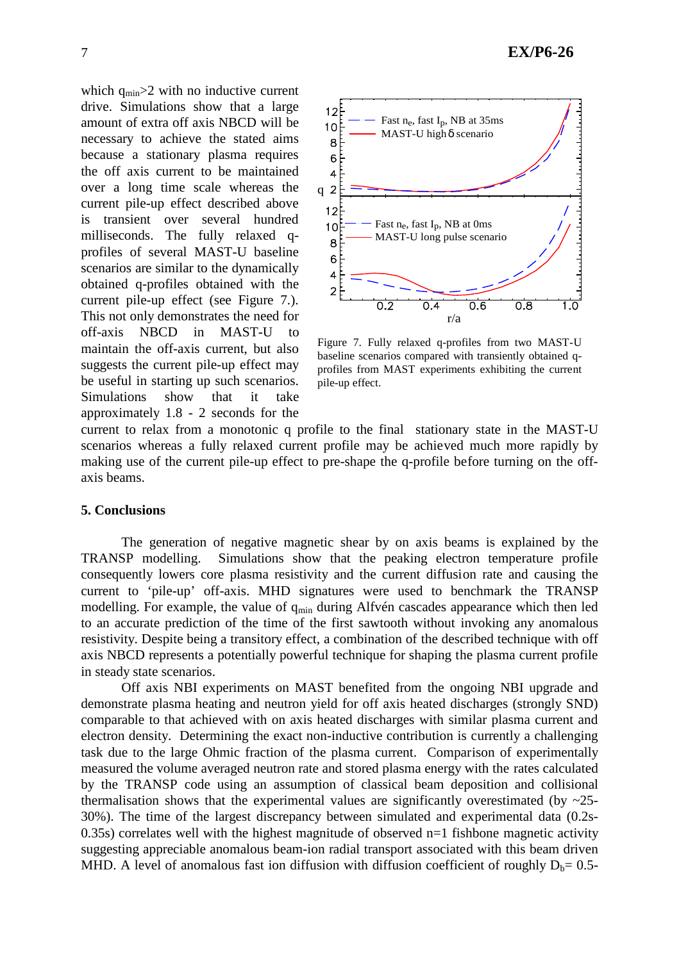which  $q_{min} > 2$  with no inductive current drive. Simulations show that a large amount of extra off axis NBCD will be necessary to achieve the stated aims because a stationary plasma requires the off axis current to be maintained over a long time scale whereas the current pile-up effect described above is transient over several hundred milliseconds. The fully relaxed qprofiles of several MAST-U baseline scenarios are similar to the dynamically obtained q-profiles obtained with the current pile-up effect (see Figure 7.). This not only demonstrates the need for off-axis NBCD in MAST-U to maintain the off-axis current, but also suggests the current pile-up effect may be useful in starting up such scenarios. Simulations show that it take approximately 1.8 - 2 seconds for the



Figure 7. Fully relaxed q-profiles from two MAST-U baseline scenarios compared with transiently obtained qprofiles from MAST experiments exhibiting the current pile-up effect.

current to relax from a monotonic q profile to the final stationary state in the MAST-U scenarios whereas a fully relaxed current profile may be achieved much more rapidly by making use of the current pile-up effect to pre-shape the q-profile before turning on the offaxis beams.

### **5. Conclusions**

The generation of negative magnetic shear by on axis beams is explained by the TRANSP modelling. Simulations show that the peaking electron temperature profile consequently lowers core plasma resistivity and the current diffusion rate and causing the current to 'pile-up' off-axis. MHD signatures were used to benchmark the TRANSP modelling. For example, the value of  $q_{min}$  during Alfvén cascades appearance which then led to an accurate prediction of the time of the first sawtooth without invoking any anomalous resistivity. Despite being a transitory effect, a combination of the described technique with off axis NBCD represents a potentially powerful technique for shaping the plasma current profile in steady state scenarios.

Off axis NBI experiments on MAST benefited from the ongoing NBI upgrade and demonstrate plasma heating and neutron yield for off axis heated discharges (strongly SND) comparable to that achieved with on axis heated discharges with similar plasma current and electron density. Determining the exact non-inductive contribution is currently a challenging task due to the large Ohmic fraction of the plasma current. Comparison of experimentally measured the volume averaged neutron rate and stored plasma energy with the rates calculated by the TRANSP code using an assumption of classical beam deposition and collisional thermalisation shows that the experimental values are significantly overestimated (by  $\sim$ 25-30%). The time of the largest discrepancy between simulated and experimental data (0.2s-0.35s) correlates well with the highest magnitude of observed n=1 fishbone magnetic activity suggesting appreciable anomalous beam-ion radial transport associated with this beam driven MHD. A level of anomalous fast ion diffusion with diffusion coefficient of roughly  $D_b= 0.5$ -